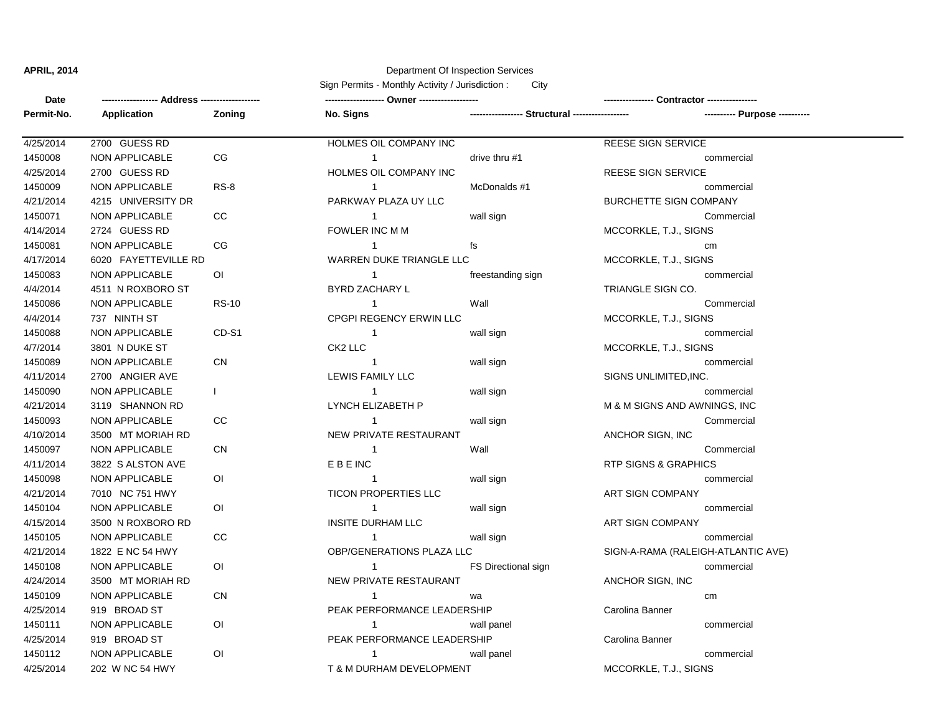## **APRIL, 2014** Department Of Inspection Services

Sign Permits - Monthly Activity / Jurisdiction : City

| Date       |                       |                |                                |                                                 |                                    |  |
|------------|-----------------------|----------------|--------------------------------|-------------------------------------------------|------------------------------------|--|
| Permit-No. | Application           | Zoning         | No. Signs                      | ----------------- Structural ------------------ | ---------- Purpose ----------      |  |
| 4/25/2014  | 2700 GUESS RD         |                | <b>HOLMES OIL COMPANY INC</b>  |                                                 | <b>REESE SIGN SERVICE</b>          |  |
| 1450008    | <b>NON APPLICABLE</b> | CG             | $\mathbf{1}$                   | drive thru #1                                   | commercial                         |  |
| 4/25/2014  | 2700 GUESS RD         |                | HOLMES OIL COMPANY INC         |                                                 | <b>REESE SIGN SERVICE</b>          |  |
| 1450009    | NON APPLICABLE        | $RS-8$         | $\mathbf{1}$                   | McDonalds #1                                    | commercial                         |  |
| 4/21/2014  | 4215 UNIVERSITY DR    |                | PARKWAY PLAZA UY LLC           |                                                 | <b>BURCHETTE SIGN COMPANY</b>      |  |
| 1450071    | NON APPLICABLE        | CC             | $\mathbf{1}$                   | wall sign                                       | Commercial                         |  |
| 4/14/2014  | 2724 GUESS RD         |                | FOWLER INC M M                 |                                                 | MCCORKLE, T.J., SIGNS              |  |
| 1450081    | <b>NON APPLICABLE</b> | CG             | $\mathbf{1}$                   | fs                                              | cm                                 |  |
| 4/17/2014  | 6020 FAYETTEVILLE RD  |                | WARREN DUKE TRIANGLE LLC       |                                                 | MCCORKLE, T.J., SIGNS              |  |
| 1450083    | <b>NON APPLICABLE</b> | O <sub>1</sub> | $\mathbf{1}$                   | freestanding sign                               | commercial                         |  |
| 4/4/2014   | 4511 N ROXBORO ST     |                | BYRD ZACHARY L                 |                                                 | TRIANGLE SIGN CO.                  |  |
| 1450086    | <b>NON APPLICABLE</b> | <b>RS-10</b>   | $\mathbf{1}$                   | Wall                                            | Commercial                         |  |
| 4/4/2014   | 737 NINTH ST          |                | <b>CPGPI REGENCY ERWIN LLC</b> |                                                 | MCCORKLE, T.J., SIGNS              |  |
| 1450088    | NON APPLICABLE        | CD-S1          | $\overline{1}$                 | wall sign                                       | commercial                         |  |
| 4/7/2014   | 3801 N DUKE ST        |                | CK2 LLC                        |                                                 | MCCORKLE, T.J., SIGNS              |  |
| 1450089    | <b>NON APPLICABLE</b> | CN             | $\overline{1}$                 | wall sign                                       | commercial                         |  |
| 4/11/2014  | 2700 ANGIER AVE       |                | LEWIS FAMILY LLC               |                                                 | SIGNS UNLIMITED, INC.              |  |
| 1450090    | <b>NON APPLICABLE</b> | $\mathbf{L}$   | $\mathbf{1}$                   | wall sign                                       | commercial                         |  |
| 4/21/2014  | 3119 SHANNON RD       |                | LYNCH ELIZABETH P              |                                                 | M & M SIGNS AND AWNINGS, INC       |  |
| 1450093    | NON APPLICABLE        | CC             | $\mathbf{1}$                   | wall sign                                       | Commercial                         |  |
| 4/10/2014  | 3500 MT MORIAH RD     |                | NEW PRIVATE RESTAURANT         |                                                 | ANCHOR SIGN, INC                   |  |
| 1450097    | <b>NON APPLICABLE</b> | ${\sf CN}$     | $\overline{1}$                 | Wall                                            | Commercial                         |  |
| 4/11/2014  | 3822 S ALSTON AVE     |                | <b>EBEINC</b>                  |                                                 | <b>RTP SIGNS &amp; GRAPHICS</b>    |  |
| 1450098    | NON APPLICABLE        | 0I             | $\mathbf{1}$                   | wall sign                                       | commercial                         |  |
| 4/21/2014  | 7010 NC 751 HWY       |                | <b>TICON PROPERTIES LLC</b>    |                                                 | ART SIGN COMPANY                   |  |
| 1450104    | NON APPLICABLE        | <b>OI</b>      | $\mathbf{1}$                   | wall sign                                       | commercial                         |  |
| 4/15/2014  | 3500 N ROXBORO RD     |                | <b>INSITE DURHAM LLC</b>       |                                                 | ART SIGN COMPANY                   |  |
| 1450105    | <b>NON APPLICABLE</b> | cc             | $\mathbf{1}$                   | wall sign                                       | commercial                         |  |
| 4/21/2014  | 1822 E NC 54 HWY      |                | OBP/GENERATIONS PLAZA LLC      |                                                 | SIGN-A-RAMA (RALEIGH-ATLANTIC AVE) |  |
| 1450108    | <b>NON APPLICABLE</b> | 0I             | $\mathbf{1}$                   | FS Directional sign                             | commercial                         |  |
| 4/24/2014  | 3500 MT MORIAH RD     |                | NEW PRIVATE RESTAURANT         |                                                 | ANCHOR SIGN, INC                   |  |
| 1450109    | NON APPLICABLE        | ${\sf CN}$     | $\mathbf{1}$                   | wa                                              | cm                                 |  |
| 4/25/2014  | 919 BROAD ST          |                | PEAK PERFORMANCE LEADERSHIP    |                                                 | Carolina Banner                    |  |
| 1450111    | <b>NON APPLICABLE</b> | 0I             | $\mathbf{1}$                   | wall panel                                      | commercial                         |  |
| 4/25/2014  | 919 BROAD ST          |                | PEAK PERFORMANCE LEADERSHIP    |                                                 | Carolina Banner                    |  |
| 1450112    | <b>NON APPLICABLE</b> | O <sub>l</sub> | $\mathbf{1}$                   | wall panel                                      | commercial                         |  |
| 4/25/2014  | 202 W NC 54 HWY       |                | T & M DURHAM DEVELOPMENT       |                                                 | MCCORKLE, T.J., SIGNS              |  |